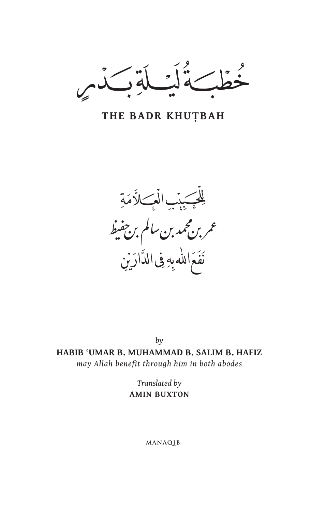ر د<br>اس  $\overline{z}$ 

THE BADR KHUTBAH

للجببب العسلاًمة عمر بن مجمد بن سالم بن جفيط نَفَعَ اللّه بِهِ فِى الدَّارَيْنِ

 $b\nu$ HABIB 'UMAR B. MUHAMMAD B. SALIM B. HAFIZ may Allah benefit through him in both abodes

> Translated by **AMIN BUXTON**

> > MANAQIB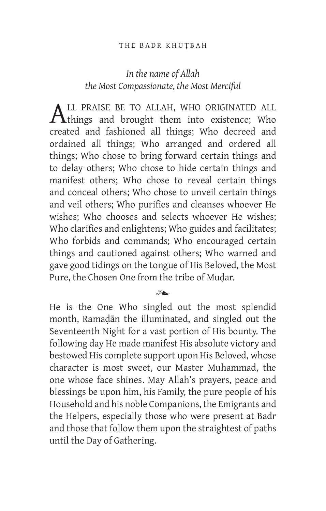# *In the name of Allah the Most Compassionate, the Most Merciful*

ALL PRAISE BE TO ALLAH, WHO ORIGINATED ALL<br>things and brought them into existence; Who created and fashioned all things; Who decreed and ordained all things; Who arranged and ordered all things; Who chose to bring forward certain things and to delay others; Who chose to hide certain things and manifest others; Who chose to reveal certain things and conceal others; Who chose to unveil certain things and veil others; Who purifies and cleanses whoever He wishes; Who chooses and selects whoever He wishes; Who clarifies and enlightens; Who guides and facilitates; Who forbids and commands; Who encouraged certain things and cautioned against others; Who warned and gave good tidings on the tongue of His Beloved, the Most Pure, the Chosen One from the tribe of Mudar.

#### $\gamma$

He is the One Who singled out the most splendid month, Ramaḍān the illuminated, and singled out the Seventeenth Night for a vast portion of His bounty. The following day He made manifest His absolute victory and bestowed His complete support upon His Beloved, whose character is most sweet, our Master Muhammad, the one whose face shines. May Allah's prayers, peace and blessings be upon him, his Family, the pure people of his Household and his noble Companions, the Emigrants and the Helpers, especially those who were present at Badr and those that follow them upon the straightest of paths until the Day of Gathering.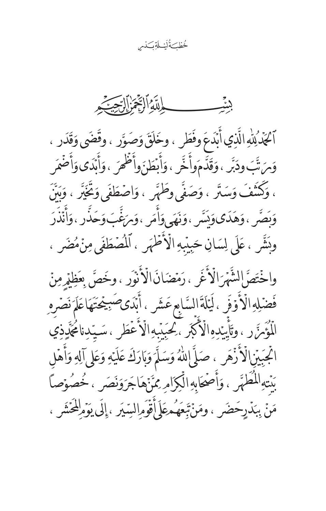خُطْكَةُلَيْلَةِكَدْم

بشب

ٱكْذَٰلِلّٰهِ الَّذِي أَبَدَعَ وفَطَرٍ ، وخَلَقَ وَصَوَّرٍ ، وقَضَى وَقَدَرٍ ، وَمَ تَّبَ ودَبَّر ، وَقَدَّمَواْ خَّر ، وَأَبْطَنَ وأَظْهَرَ ، وَأَبْدَى وَأَضْمَرَ ، وَكُنَّفَ وَسَتَرٍ ، وَصَفَّى وِطَهَّرٍ ، وَاصْطَفَى وَتُخَيِّرُ ، وَبَنَّ وَبِصَّرٍ ، وَهَدَى وَيَسَّرٍ ، وَنَهَى وَأَمَرٍ ، وَمَئِّبَ وَحَذَّرٍ ، وَأَنْذَرَ وبَشِّر ، عَلَى لِسَانِ حَبِيْبِهِ الْأَطْهَرِ ، ٱلْمُصْطَفَى مِنْ مُضَرِ ،

واخْتَصَّ الشَّهْرَ الْأَغَرِ ، رَمۡضَانَ الۡأُنۡوَرِ ، وخَصَّ بِعَظِيۡرِمِنۡ فَضْلِهِ الْأُوْفَرِ ، لَيَلَةَ السَّابِعِ عَشَرٍ ، أَبَدَى صَبِيْحَتَهَا عَلَمَ نَصْرِهِ الْمُؤَمِّرَ رِ ، وتَأْيَدِهِ الْأَكْبَرِ ، كِجَيْبِهِ الْأَعْطَرِ ، سَيّدِنامُجَّدِذِي اتْجَبَيْنِالْأَزْهَرِ ، صَلَّ إِللَّهُ وَسَلَّمَ وَبَارَكَ عَلَيْهِ وَعَلِى آلِهِ وَأَهْل بَنْتِهِ الْمُطَهَّرِ ، وَأَصْحَابِهِ الْكِرَامِ مِمَّنْهَاجَرَوَنَصَرٍ ، خُصُوۡصاً مَنْ بِبَذَرِحَضَرٍ ، ومَنْ تَبِعَهُمْعَلِيَّأَقْوَمِ السِّيَرِ ، إِلَى يَوَمِ لِلْحَشْرِ ،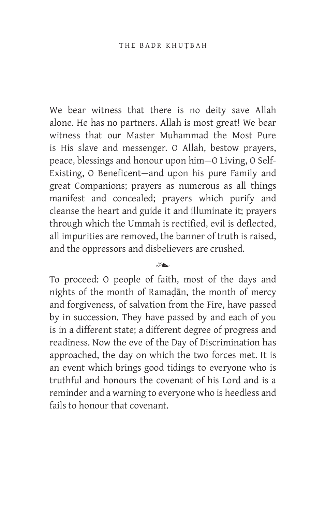We bear witness that there is no deity save Allah alone. He has no partners. Allah is most great! We bear witness that our Master Muhammad the Most Pure is His slave and messenger. O Allah, bestow prayers, peace, blessings and honour upon him—O Living, O Self-Existing, O Beneficent—and upon his pure Family and great Companions; prayers as numerous as all things manifest and concealed; prayers which purify and cleanse the heart and guide it and illuminate it; prayers through which the Ummah is rectified, evil is deflected, all impurities are removed, the banner of truth is raised, and the oppressors and disbelievers are crushed.

## $x^2$

To proceed: O people of faith, most of the days and nights of the month of Ramaḍān, the month of mercy and forgiveness, of salvation from the Fire, have passed by in succession. They have passed by and each of you is in a different state; a different degree of progress and readiness. Now the eve of the Day of Discrimination has approached, the day on which the two forces met. It is an event which brings good tidings to everyone who is truthful and honours the covenant of his Lord and is a reminder and a warning to everyone who is heedless and fails to honour that covenant.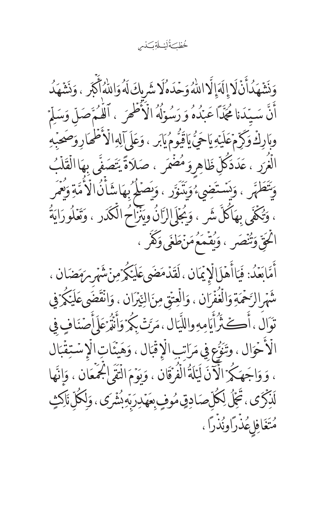خُطْكَةُلَيْلَةِكْدَ

وَنَشَهَدُاًنَّ لَا إِلَهَ إِلَّا اللَّهُ وَحَدَهُلَا شَرِيكَ لَهُ وَاللَّهُ أَكْبَر ، وَنَشَهَدُ أَنَّ سَبّدَنا مُجَدًّا عَبْدُهُ وَرَسُوۡلُهُ الۡأَظۡهَرَ ، ٱللَّـٰمَ صَلّ وَسَلِّمَ وبَارِكْ وَكَرِّمْ عَلَيْهِ يَاحَيُّ يَاقِيُّومُ يَابَر ، وَعَلَى آلِهِ الْأَطْمَارِ وَصَحَبْهِ الْغُرَرِ ، عَدَدَكُلِّ ظَاهِروَمُضْمَر ، صَلاَةً يَتَصَفِّى بِهَا الْقَلْبُ وَيَتَطَهَّر ، وَيَسْتَضِيءُوَيَتَوَّر ، وَيَصَلْحُ بِهَاشَأَنُ الْأُمَّةِ وَيُعَمَّر ، وَتُكَفَّى بِهَاكُلَّ شَرٍ ، وَيُجَلِّى إِلزَّانُ وَيَنْزَاحُ الْكَدَرِ ، وَتَعْلُورَايَةُ الْمَتِّيّ وَتُنْصَر ، وَيُقْمَعُهُنَّ طَغَى وَكَفَر ، أَمَّابَعَدُ: فَيَاأَهْلَالَإِيمَانِ ، لَقَدْمَضَىعَلَيْكُرُمِنْشَهْرِمِهَضَانِ ، شَهْرِ الرَّحْمَةِ وَالْغُفْرَانِ ، وَالْعِتْقِ مِنَ النِّيْرَانِ ، وَانْقَضَىعَلَيْكُمْ فِي تَوَالُ ، أُڪَثَرُاً يَامِهِ واللَّيَال ، مَرَّتْ بِكُمْ وَأَنْذُ عَلَى أَصْنَافٍ فِي الْأَخْوَالِ ، وتَنَوُّعِ فِي مَرَاتِبِ الْإِقْبَالِ ، وَهَيْئَاتِ الْإِسْتِقْبَال ، وَوَاجَهَكُمْ الْآَنَ لَيْلَةُ الْفُرْقَانِ ، وَبِوَمَ الْتَقَىٰ الْجَمْعَانِ ، وَإِنَّهَا لَّذِكَرَى، تَجَلُّ لِكُلِّصَادِقٍ مُوفٍ بِعَهْدِرَبِّهِ بِشَرَى ، وَلِكُلِّ نَاكِثٍ مُتَغَافِلِ مُذْرًاونُذْرًا ،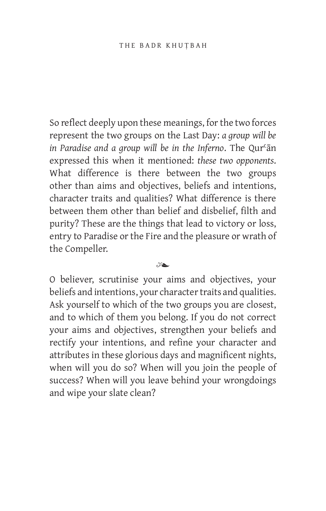So reflect deeply upon these meanings, for the two forces represent the two groups on the Last Day: *a group will be in Paradise and a group will be in the Inferno*. The Qurʿān expressed this when it mentioned: *these two opponents*. What difference is there between the two groups other than aims and objectives, beliefs and intentions, character traits and qualities? What difference is there between them other than belief and disbelief, filth and purity? These are the things that lead to victory or loss, entry to Paradise or the Fire and the pleasure or wrath of the Compeller.

 $x^2$ 

O believer, scrutinise your aims and objectives, your beliefs and intentions, your character traits and qualities. Ask yourself to which of the two groups you are closest, and to which of them you belong. If you do not correct your aims and objectives, strengthen your beliefs and rectify your intentions, and refine your character and attributes in these glorious days and magnificent nights, when will you do so? When will you join the people of success? When will you leave behind your wrongdoings and wipe your slate clean?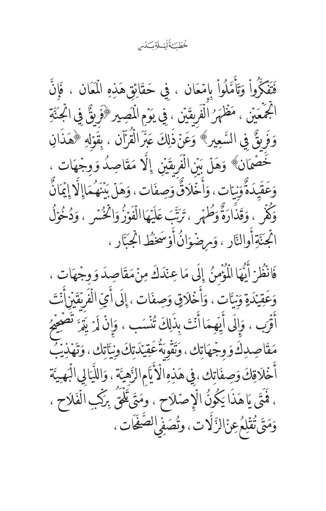خُطْكَ ُلَيْــلَةِ كَذْم

فَتَفَكَّرُواْ وَتَأْمَّلُواْ بِامْعَان ، فِي حَقَائِقِ هَذِهِ الْمَعَان ، فَإِنَّ الْجَمْعَيْنِ ، مَظْهَرُ الْفَرِيقَيْنِ ، فِي يَوْمِ الْمَصِيرِ ﴿وَفِيٌّ فِي الْجَنَّةِ وَفَرِيقٌ فِي السَّعِيرِ﴾ وَعَنۡ ذَٰلِكَ عَبَّرَالۡقُرۡٓان ، بِقَوۡلَهِ ﴿هَٰذَانِ خَصْمَانٌ؟ وَهَلْ بَيْنِ الْفَرِيقَيْنِ ۚ إِلَّا مَقَاصِدُ وَوجّهَات ، وَعَقَيدَةٌ وَنات، وَأَخَلَاقٌ وَصِفَات، وَهَلَ بَيْنَهُمَاإِلَّا إِيمَانٌ وَكُفْرٍ ، وَقَذَارَةٌ وَطُهْرٍ ، تَرَتَّبَ عَلَيْهَاالْفَوْزُ وَاثْخُسْرٍ ، وَدُخُوَلُ اتْجِنَّةِأُوالنَّارِ ، وَمِرْضُوَانُ أَوْسَخَطُ اتْجِبَّارِ ،

فَانْظُرْ أَيْهَا الْمُؤْمِنُ إِلَى مَا عِنْدَكَ مِنْ مَقَاصِدَ وَوِجْهَاتٍ ، وَعَقِيْدَةٍ وَنِيَّاتٍ ، وَأَخْلَاقٍ وَصِفَاتٍ ، إِلَى أَيِّ الْفَرِيقَيْنِأَنْتَ أَقْرَب ، وَإِلَى أَيْهِمَا أَنْتَ بِذَلِكَ تُنْسَب ، وَإِنْ لَمَرْ يَتَمَّ تَصَحِّيَهُ مَقَاصِدِكَ وَوجْهَاتِك، وَتَقُوبَةُ عَقِيْدَتِكَ وِنِيَاتِك، وَتَهَذِيَبُ أَخْلَاقِكَ وَصِفَاتِكَ، فِي هَذِهِ الْأَيَّامِ الزَّهِيَّة ، وَاللَّيَالِي الْبَهِيَّة ، فَمَتَى يَاهَذَا يَكُونُ الْإِصْلاَحِ ، ومَتَى لَلْمَتَى بِرَكْبِ الْفَلاَحِ ، وَمَتَى ثُقَلِمُ عِنَالزَّلَّاتِ، وتُصَفِّى الصَّفَاتِ،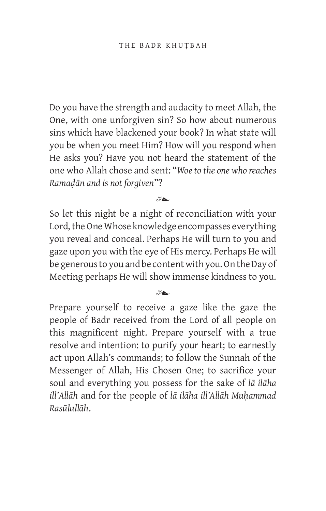Do you have the strength and audacity to meet Allah, the One, with one unforgiven sin? So how about numerous sins which have blackened your book? In what state will you be when you meet Him? How will you respond when He asks you? Have you not heard the statement of the one who Allah chose and sent: "*Woe to the one who reaches Ramaḍān and is not forgiven*"?

 $\mathscr{C}\blacktriangle$ 

So let this night be a night of reconciliation with your Lord, the One Whose knowledge encompasses everything you reveal and conceal. Perhaps He will turn to you and gaze upon you with the eye of His mercy. Perhaps He will be generous to you and be content with you. On the Day of Meeting perhaps He will show immense kindness to you.

 $x^2$ 

Prepare yourself to receive a gaze like the gaze the people of Badr received from the Lord of all people on this magnificent night. Prepare yourself with a true resolve and intention: to purify your heart; to earnestly act upon Allah's commands; to follow the Sunnah of the Messenger of Allah, His Chosen One; to sacrifice your soul and everything you possess for the sake of *lā ilāha ill'Allāh* and for the people of *lā ilāha ill'Allāh Muḥammad Rasūlullāh*.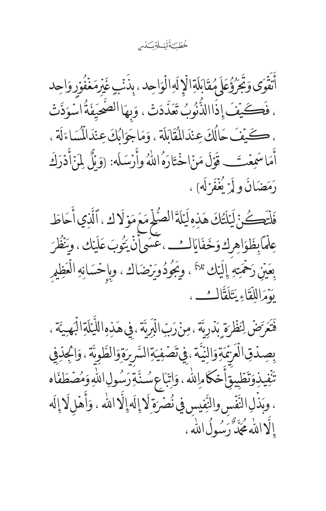خُطْكَةُلَيْلَةِكَدْس

أَتَفَوَى وَجَرَؤُعَلَ مُقَابَلَةِالَإِلَهِالْوَاحِدِ، بِذَنّبٍ غَيْرِمَغْفُوَرِ وَاحِد ، فَكَيْفَ إِذَاالذُّنُوبُ تَعَدَّدَتْ ، وَبِهَا الصَّحِيَفَةُ اسْوَدَّتْ ، كَيْفَ حَالُكَ عِنْدَالْمُقَابَلَة ، وَمَاجَوَابُكَ عِنْدَالْمُسَاءَلَة ، أَمَاسَمِعۡتَــ قَوۡلَ مَنۡاخۡتَارَهُ اللَّهُ وأَرۡسَلَهُ: (وَبِّلۡ لِمَنۡأَدۡرَكَ رَمَضَانَ ولَمَرْ يُغَفَرْلَه) ،

فَلْتَكُنَّ لَيَلْتُكَ هَذِهِ لَيَلَةَ الصُّلْمِ مَعَ مَوۡ لَاكِ ، ٱلَّذِي أَحَاطَ عِلْمَابِظَوَاهِرِكِ وَخَفَايَالِثِ ،عَسَى أَنْ يَتُوبَ عَلَيْك ، ونَظُرَ بِعَيْنِ رَحْمَتِهِ إِلَيْك <sup>ثلاثًا</sup> ، وِيَجُودُويَرْضَاك ، وِبِإِحْسَانِهِ الْعَظِيرِ يؤَمَرَالِلِّقَاءِ يَتَلَقَّالُتُ،

فَتَعَرَّضٌ لِنَظْرَةٍ بَدُرِيَّةٍ ، مِنْ رَبِّ الْبَرِيَّةِ ، فِي هَذِهِ اللَّيَلَةِ الْبَهِيَّةِ ، بِصِدُقِ الْعَرْمَةِوَالِنِّيَّةِ، فِي تَصَفِيَةِ السَّرِيَةِوَالطَّوِيَّةِ ، وَالْجِدِّفِي تَنْفِيذِوَتَطَبِيقِأَحْكَامِاللهِ ، وَاتِّبَاعِ سُنَّةِ رَسُولِ اللّهِ وَمُصَطَفَاه ، وبَذَلِ النَّفَسِ والنِّفِيسِ فِي نُصَرَةِ لَا إِلَهِ إِلَّا الله ، وَأَهَلٍ لَا إِلَه إِلَّااللَّهُ مُجَدَّّرَ رُسُولُ اللَّهِ ،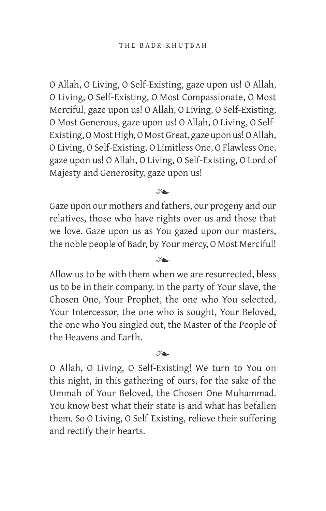O Allah, O Living, O Self-Existing, gaze upon us! O Allah, O Living, O Self-Existing, O Most Compassionate, O Most Merciful, gaze upon us! O Allah, O Living, O Self-Existing, O Most Generous, gaze upon us! O Allah, O Living, O Self-Existing, O Most High, O Most Great, gaze upon us! O Allah, O Living, O Self-Existing, O Limitless One, O Flawless One, gaze upon us! O Allah, O Living, O Self-Existing, O Lord of Majesty and Generosity, gaze upon us!

 $x_{\bullet}$ 

Gaze upon our mothers and fathers, our progeny and our relatives, those who have rights over us and those that we love. Gaze upon us as You gazed upon our masters, the noble people of Badr, by Your mercy, O Most Merciful!

 $x_{\bullet}$ 

Allow us to be with them when we are resurrected, bless us to be in their company, in the party of Your slave, the Chosen One, Your Prophet, the one who You selected, Your Intercessor, the one who is sought, Your Beloved, the one who You singled out, the Master of the People of the Heavens and Earth.

 $x_{\geq 0}$ 

O Allah, O Living, O Self-Existing! We turn to You on this night, in this gathering of ours, for the sake of the Ummah of Your Beloved, the Chosen One Muhammad. You know best what their state is and what has befallen them. So O Living, O Self-Existing, relieve their suffering and rectify their hearts.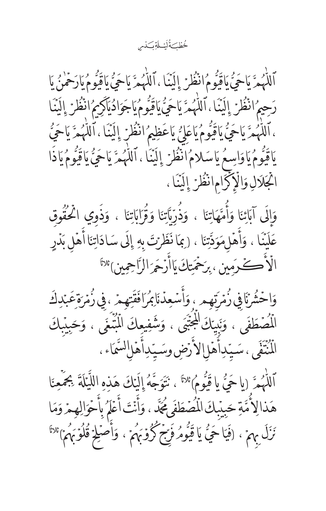خُطْكَ أَيْسَلَةِ كَذَم

ٱللَّهُمَّ يَاحَيُّ يَاقَيُومُ انْظُرْ إِلَيْنَا ، ٱللَّهُمَّ يَاحَنُّ يَاقَيُّومُ يَارَحْمْنُ مَا رَحِيمُ انْظُرْ إِلَيْنَا ، ٱللَّهُمَّ يَاحَيُّ يَاقِيُومُ يَاجَوَادُيَآكِمُ انْظُرْ إِلَيْنَا ، ٱللَّهُمَّ يَاحَيُّ يَاقَيُّومُ يَاعَلِيُّ يَاعَظِيمُ انْظُرْ إِلَيْنَا ، ٱللَّهُمَّ يَاحَيُّ يَاقَيُّومُ يَاوَاسِعُ يَاسَلامُ انْظُرْ إِلَيْنَا ، ٱللَّهُمَّ يَاحَيُّ يَاقَيُّومُ يَاذَا ايُجَلَالِ وَالْإِكْرَامِ انْظُرْ إِلَيْنَا ،

وَالَى آبَائِنَا وَأُمَّهَاتِنَا ، وَذُرِّبَّاتِنَا وَقُرَابَاتِنَا ، وَذَوِي الْحُقُوقِ عَلَيْنَا ، وَأَهۡلِمَوَدَّتِنَا ، (بِمَا نَظَرۡتَ بِهِ إِلَى سَادَاتِنَا أَهۡل بَدۡرِ الْأَكْمُ يُرَمِين ، بِرَحْمَتِكَ يَاأَرْحَرَ الرَّاحِمِينِ بَ<sup>لاثًا</sup>

وَاحْشُرْنَا فِي زُمِّرَتِهِم ، وَأَسْعِدْنَا ِبُمَرَافَقَتِهِمْ ، فِي زُمْرَةِعَبْدِكَ لْلُصۡطَفَى ، وَنَبِيّاكَ لَلۡجَنَّبَى ، وَشَفِيعِكَ الۡمُبۡنَمَى ، وَحَبِيۡبِكَ الْمُنْتَفَى ، سَيِّدِأَهْلِالاً رَضِ وسَيّدِأَهْلِالسَّمَاء ،

ٱللَّهُمَّ (ياحَيُّ ياقَيُّومُ)َّلاً ، نَتَوَجَّهُ إِلَيْكَ هَذِهِ اللَّيْلَةَ بِجَمْعِنَا هَذالِاً مَّةِ حَبِيْبِكَ الْمُصَطَفَى مُجَدّ ، وَأَنْتَ أَعْلَمُ بِأَحْوَالِهِمْ وَمَا نَزَلَ بِهِمْ ، (فَيَا حَيُّ يَا قَيُومُ فَرِّجْ كُوْمَهُمْ ، وَأَصْلِحْ قُلُوۡهِمَا ۚ "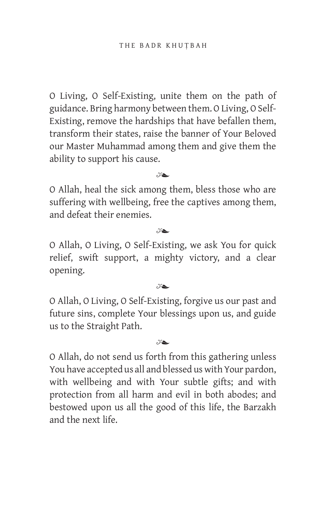O Living, O Self-Existing, unite them on the path of guidance. Bring harmony between them. O Living, O Self-Existing, remove the hardships that have befallen them, transform their states, raise the banner of Your Beloved our Master Muhammad among them and give them the ability to support his cause.

## $x_{\geq 0}$

O Allah, heal the sick among them, bless those who are suffering with wellbeing, free the captives among them, and defeat their enemies.

### $x^2$

O Allah, O Living, O Self-Existing, we ask You for quick relief, swift support, a mighty victory, and a clear opening.

#### $x^2$

O Allah, O Living, O Self-Existing, forgive us our past and future sins, complete Your blessings upon us, and guide us to the Straight Path.

### $x_{\geq 0}$

O Allah, do not send us forth from this gathering unless You have accepted us all and blessed us with Your pardon, with wellbeing and with Your subtle gifts; and with protection from all harm and evil in both abodes; and bestowed upon us all the good of this life, the Barzakh and the next life.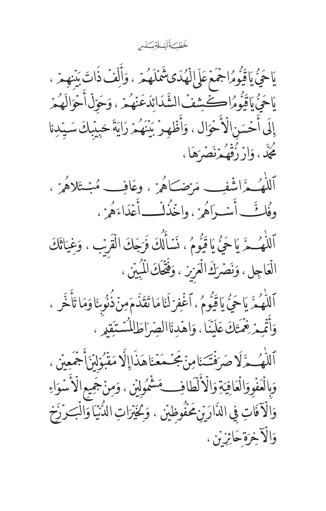خُطْكَ ُلَيْــلَةِ كَذْم

يَاجَيُّ يَاقَيُومُ اجْمَعَ عَلَىٰ لِلْهُدَى شَمَلَهُمْ ، وَأَلَّفْ ذَاتَ بَنْنِهِمْ ، مَاحَىُّ مَاقَيُّومُراكَشِيفْ الشَّدَائِدَعَنْهُمْ ، وَحَوّلْ أَحْوَالَهُمْ إِلَى أَحْسَنِ الْأَحْوَالِ ، وَأَظْهِرْ بِيَنَهُمْ رَايَةَ حَبِيْبِكَ سَيّدِنا كُجِّكَ، وَازْ زُقْهُ مِزْنَصَرَهَا،

ٱللْهُــمَّـ اشْفِــــه مَرْضــَـاهُمْ ، وعَافِـــه مُبْــتَلاهُمْ ، وفُلُّ أُسۡ رَاهُمۡ ٰ واخۡنُدَلَـــ أَعۡدَاءَهُمۡ ٰ ﴾

ٱللْهُ حَرَّ يَاحَىُّ يَاقَيُّومُ، نَسَأَلُكَ فَرَجَكَ الْقَرَبِ ، وَغِيَاثَكَ الْعَاجِلِ، وَنَصَرَكَ الْعَزِيزِ ، وَفَخَّكَ الْمُبِيْنِ ،

ٱللَّهُمَّ يَاحَيُّ يَاقَيُّومُ، ٱغْفِرْلَنَامَا تَقَدَّمَصِنَّذُنُوشَاوَمَا تَأَخَّر ، وَأَثْمِمْ نِعْمَتَكَ عَلَيْنَا ، وَاهْدِنَاالْصِّرَاطَالْمُسْتَقِيمِ ،

ٱللْهُــمَّ لَا صَرَفْتَـنَامِنۡ مَجۡـمَعۡنَاهَذَاإِلَّا مَقۡبُوۡلِنۡنَأَجۡمَعِیۡنِ ، وَالْعَفُووَالْعَافِيَةِ وَالْأَلْطَافِ مَشْمُولِيْنِ ، وَمِنْ جَمِيعِ الْأَسْوَاءِ وَالْآفَاتِ فِي الدَّارَيِّن مَحْفُوظِيِّن ، وَكَيْرَاتِ الدُّنْيَا وَالْبَرْزَخ وَالْآخِرَةِ حَائِزَتَنِ ،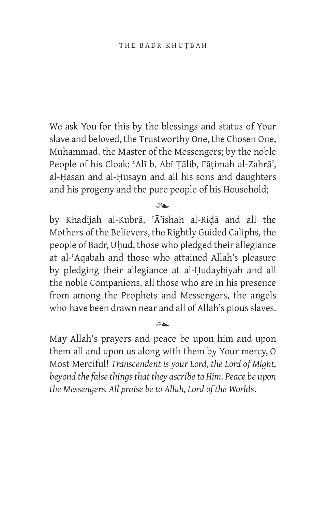We ask You for this by the blessings and status of Your slave and beloved, the Trustworthy One, the Chosen One, Muhammad, the Master of the Messengers; by the noble People of his Cloak: ʿAlī b. Abī Ṭālib, Fāṭimah al-Zahrā', al-Ḥasan and al-Ḥusayn and all his sons and daughters and his progeny and the pure people of his Household;

 $x_{\geq 0}$ 

by Khadījah al-Kubrā, ʿĀ'ishah al-Riḍā and all the Mothers of the Believers, the Rightly Guided Caliphs, the people of Badr, Uḥud, those who pledged their allegiance at al-ʿAqabah and those who attained Allah's pleasure by pledging their allegiance at al-Ḥudaybiyah and all the noble Companions, all those who are in his presence from among the Prophets and Messengers, the angels who have been drawn near and all of Allah's pious slaves.

May Allah's prayers and peace be upon him and upon them all and upon us along with them by Your mercy, O Most Merciful! *Transcendent is your Lord, the Lord of Might, beyond the false things that they ascribe to Him. Peace be upon the Messengers. All praise be to Allah, Lord of the Worlds*.

 $x_{\bullet}$